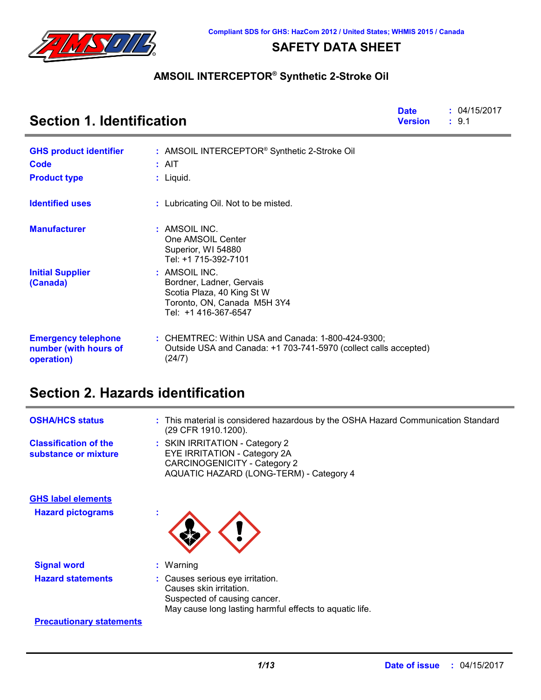

### **SAFETY DATA SHEET**

### **AMSOIL INTERCEPTOR® Synthetic 2-Stroke Oil**

| <b>Section 1. Identification</b>                                  | <b>Date</b><br><b>Version</b>                                                                                                    | : 04/15/2017<br>: 9.1 |  |
|-------------------------------------------------------------------|----------------------------------------------------------------------------------------------------------------------------------|-----------------------|--|
| <b>GHS product identifier</b>                                     | : AMSOIL INTERCEPTOR <sup>®</sup> Synthetic 2-Stroke Oil                                                                         |                       |  |
| Code                                                              | $:$ AIT                                                                                                                          |                       |  |
| <b>Product type</b>                                               | : Liquid.                                                                                                                        |                       |  |
| <b>Identified uses</b>                                            | : Lubricating Oil. Not to be misted.                                                                                             |                       |  |
| <b>Manufacturer</b>                                               | : AMSOIL INC.<br>One AMSOIL Center<br>Superior, WI 54880<br>Tel: +1 715-392-7101                                                 |                       |  |
| <b>Initial Supplier</b><br>(Canada)                               | : AMSOIL INC.<br>Bordner, Ladner, Gervais<br>Scotia Plaza, 40 King St W<br>Toronto, ON, Canada M5H 3Y4<br>Tel: +1 416-367-6547   |                       |  |
| <b>Emergency telephone</b><br>number (with hours of<br>operation) | : CHEMTREC: Within USA and Canada: 1-800-424-9300;<br>Outside USA and Canada: +1 703-741-5970 (collect calls accepted)<br>(24/7) |                       |  |

# **Section 2. Hazards identification**

| <b>OSHA/HCS status</b>                               | : This material is considered hazardous by the OSHA Hazard Communication Standard<br>(29 CFR 1910.1200).                                               |
|------------------------------------------------------|--------------------------------------------------------------------------------------------------------------------------------------------------------|
| <b>Classification of the</b><br>substance or mixture | : SKIN IRRITATION - Category 2<br>EYE IRRITATION - Category 2A<br>CARCINOGENICITY - Category 2<br>AQUATIC HAZARD (LONG-TERM) - Category 4              |
| <b>GHS label elements</b>                            |                                                                                                                                                        |
| <b>Hazard pictograms</b>                             |                                                                                                                                                        |
| <b>Signal word</b>                                   | $:$ Warning                                                                                                                                            |
| <b>Hazard statements</b>                             | : Causes serious eye irritation.<br>Causes skin irritation.<br>Suspected of causing cancer.<br>May cause long lasting harmful effects to aquatic life. |
| <b>Precautionary statements</b>                      |                                                                                                                                                        |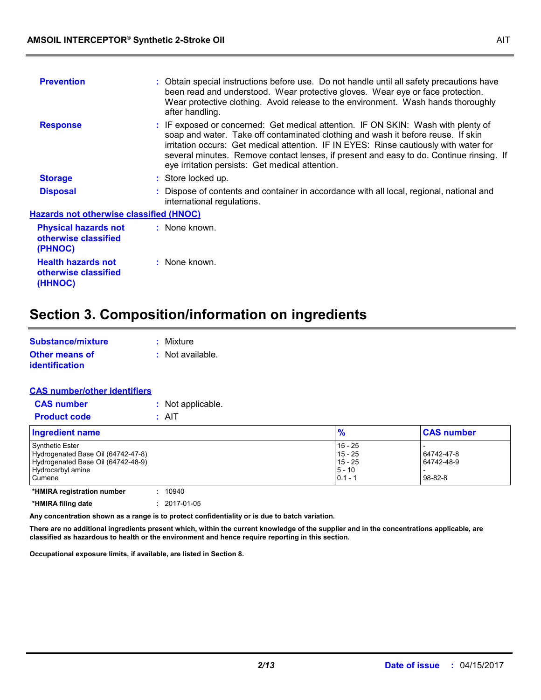| : Obtain special instructions before use. Do not handle until all safety precautions have<br>been read and understood. Wear protective gloves. Wear eye or face protection.                                                                                                                                                                               |  |  |  |
|-----------------------------------------------------------------------------------------------------------------------------------------------------------------------------------------------------------------------------------------------------------------------------------------------------------------------------------------------------------|--|--|--|
| Wear protective clothing. Avoid release to the environment. Wash hands thoroughly                                                                                                                                                                                                                                                                         |  |  |  |
| : IF exposed or concerned: Get medical attention. IF ON SKIN: Wash with plenty of<br>soap and water. Take off contaminated clothing and wash it before reuse. If skin<br>irritation occurs: Get medical attention. IF IN EYES: Rinse cautiously with water for<br>several minutes. Remove contact lenses, if present and easy to do. Continue rinsing. If |  |  |  |
|                                                                                                                                                                                                                                                                                                                                                           |  |  |  |
| : Dispose of contents and container in accordance with all local, regional, national and                                                                                                                                                                                                                                                                  |  |  |  |
| <b>Hazards not otherwise classified (HNOC)</b>                                                                                                                                                                                                                                                                                                            |  |  |  |
|                                                                                                                                                                                                                                                                                                                                                           |  |  |  |
|                                                                                                                                                                                                                                                                                                                                                           |  |  |  |
|                                                                                                                                                                                                                                                                                                                                                           |  |  |  |

# **Section 3. Composition/information on ingredients**

| Substance/mixture                              | : Mixture          |
|------------------------------------------------|--------------------|
| <b>Other means of</b><br><b>identification</b> | $:$ Not available. |

| <b>CAS number/other identifiers</b> |                   |
|-------------------------------------|-------------------|
| <b>CAS number</b>                   | : Not applicable. |
| <b>Product code</b>                 | : AIT             |
| <b>Ingredient name</b>              |                   |

| Ingredient name                                                                                                                   | $\frac{9}{6}$                                                | <b>CAS number</b>                     |
|-----------------------------------------------------------------------------------------------------------------------------------|--------------------------------------------------------------|---------------------------------------|
| <b>Synthetic Ester</b><br>Hydrogenated Base Oil (64742-47-8)<br>Hydrogenated Base Oil (64742-48-9)<br>Hydrocarbyl amine<br>Cumene | $15 - 25$<br>$15 - 25$<br>$15 - 25$<br>$5 - 10$<br>$0.1 - 7$ | 64742-47-8<br>64742-48-9<br>$98-82-8$ |
| *HMIRA registration number<br>10940                                                                                               |                                                              |                                       |

**\*HMIRA filing date :** 2017-01-05

**Any concentration shown as a range is to protect confidentiality or is due to batch variation.**

**There are no additional ingredients present which, within the current knowledge of the supplier and in the concentrations applicable, are classified as hazardous to health or the environment and hence require reporting in this section.**

**Occupational exposure limits, if available, are listed in Section 8.**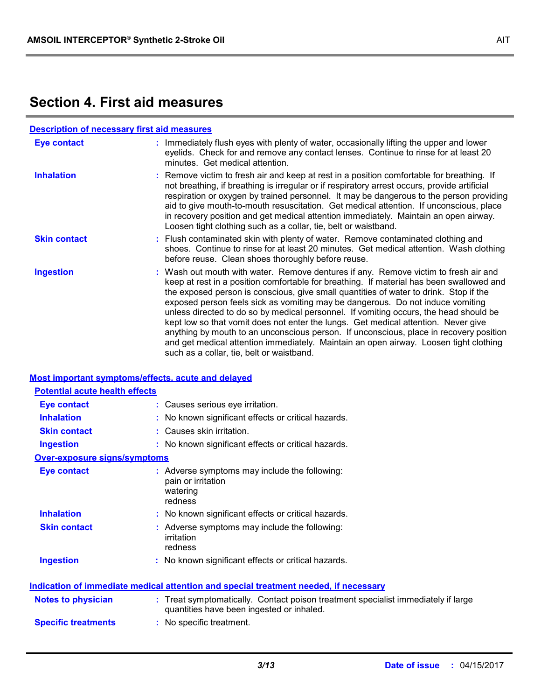# **Section 4. First aid measures**

| <b>Description of necessary first aid measures</b> |                                                                                                                                                                                                                                                                                                                                                                                                                                                                                                                                                                                                                                                                                                                                                                           |  |  |
|----------------------------------------------------|---------------------------------------------------------------------------------------------------------------------------------------------------------------------------------------------------------------------------------------------------------------------------------------------------------------------------------------------------------------------------------------------------------------------------------------------------------------------------------------------------------------------------------------------------------------------------------------------------------------------------------------------------------------------------------------------------------------------------------------------------------------------------|--|--|
| Eye contact                                        | : Immediately flush eyes with plenty of water, occasionally lifting the upper and lower<br>eyelids. Check for and remove any contact lenses. Continue to rinse for at least 20<br>minutes. Get medical attention.                                                                                                                                                                                                                                                                                                                                                                                                                                                                                                                                                         |  |  |
| <b>Inhalation</b>                                  | : Remove victim to fresh air and keep at rest in a position comfortable for breathing. If<br>not breathing, if breathing is irregular or if respiratory arrest occurs, provide artificial<br>respiration or oxygen by trained personnel. It may be dangerous to the person providing<br>aid to give mouth-to-mouth resuscitation. Get medical attention. If unconscious, place<br>in recovery position and get medical attention immediately. Maintain an open airway.<br>Loosen tight clothing such as a collar, tie, belt or waistband.                                                                                                                                                                                                                                 |  |  |
| <b>Skin contact</b>                                | : Flush contaminated skin with plenty of water. Remove contaminated clothing and<br>shoes. Continue to rinse for at least 20 minutes. Get medical attention. Wash clothing<br>before reuse. Clean shoes thoroughly before reuse.                                                                                                                                                                                                                                                                                                                                                                                                                                                                                                                                          |  |  |
| <b>Ingestion</b>                                   | : Wash out mouth with water. Remove dentures if any. Remove victim to fresh air and<br>keep at rest in a position comfortable for breathing. If material has been swallowed and<br>the exposed person is conscious, give small quantities of water to drink. Stop if the<br>exposed person feels sick as vomiting may be dangerous. Do not induce vomiting<br>unless directed to do so by medical personnel. If vomiting occurs, the head should be<br>kept low so that vomit does not enter the lungs. Get medical attention. Never give<br>anything by mouth to an unconscious person. If unconscious, place in recovery position<br>and get medical attention immediately. Maintain an open airway. Loosen tight clothing<br>such as a collar, tie, belt or waistband. |  |  |

### **Most important symptoms/effects, acute and delayed**

| <b>Potential acute health effects</b> |                                                                                                                                |
|---------------------------------------|--------------------------------------------------------------------------------------------------------------------------------|
| <b>Eye contact</b>                    | : Causes serious eye irritation.                                                                                               |
| <b>Inhalation</b>                     | : No known significant effects or critical hazards.                                                                            |
| <b>Skin contact</b>                   | : Causes skin irritation.                                                                                                      |
| <b>Ingestion</b>                      | : No known significant effects or critical hazards.                                                                            |
| <b>Over-exposure signs/symptoms</b>   |                                                                                                                                |
| <b>Eye contact</b>                    | : Adverse symptoms may include the following:<br>pain or irritation<br>watering<br>redness                                     |
| <b>Inhalation</b>                     | : No known significant effects or critical hazards.                                                                            |
| <b>Skin contact</b>                   | : Adverse symptoms may include the following:<br>irritation<br>redness                                                         |
| <b>Ingestion</b>                      | : No known significant effects or critical hazards.                                                                            |
|                                       | <b>Indication of immediate medical attention and special treatment needed, if necessary</b>                                    |
| <b>Notes to physician</b>             | : Treat symptomatically. Contact poison treatment specialist immediately if large<br>quantities have been ingested or inhaled. |
| <b>Specific treatments</b>            | : No specific treatment.                                                                                                       |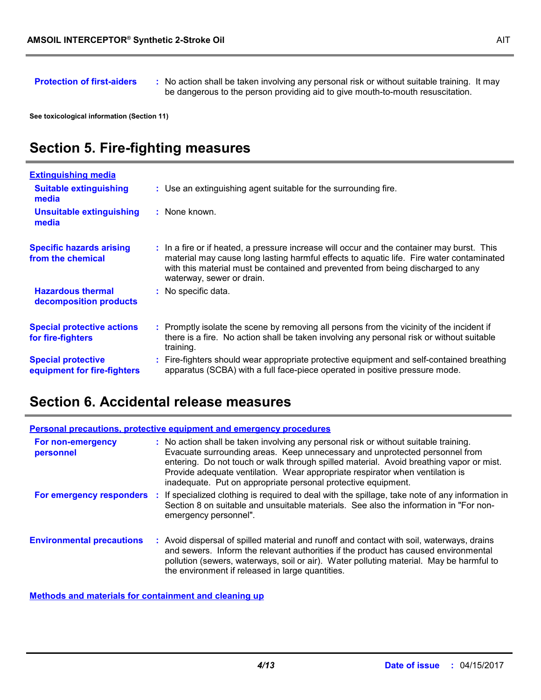**Protection of first-aiders** : No action shall be taken involving any personal risk or without suitable training. It may be dangerous to the person providing aid to give mouth-to-mouth resuscitation.

**See toxicological information (Section 11)**

# **Section 5. Fire-fighting measures**

| <b>Extinguishing media</b>                               |                                                                                                                                                                                                                                                                                                        |
|----------------------------------------------------------|--------------------------------------------------------------------------------------------------------------------------------------------------------------------------------------------------------------------------------------------------------------------------------------------------------|
| <b>Suitable extinguishing</b><br>media                   | : Use an extinguishing agent suitable for the surrounding fire.                                                                                                                                                                                                                                        |
| <b>Unsuitable extinguishing</b><br>media                 | : None known.                                                                                                                                                                                                                                                                                          |
| <b>Specific hazards arising</b><br>from the chemical     | : In a fire or if heated, a pressure increase will occur and the container may burst. This<br>material may cause long lasting harmful effects to aquatic life. Fire water contaminated<br>with this material must be contained and prevented from being discharged to any<br>waterway, sewer or drain. |
| <b>Hazardous thermal</b><br>decomposition products       | : No specific data.                                                                                                                                                                                                                                                                                    |
| <b>Special protective actions</b><br>for fire-fighters   | : Promptly isolate the scene by removing all persons from the vicinity of the incident if<br>there is a fire. No action shall be taken involving any personal risk or without suitable<br>training.                                                                                                    |
| <b>Special protective</b><br>equipment for fire-fighters | Fire-fighters should wear appropriate protective equipment and self-contained breathing<br>apparatus (SCBA) with a full face-piece operated in positive pressure mode.                                                                                                                                 |

### **Section 6. Accidental release measures**

| <b>Personal precautions, protective equipment and emergency procedures</b> |  |                                                                                                                                                                                                                                                                                                                                                                                                                  |  |
|----------------------------------------------------------------------------|--|------------------------------------------------------------------------------------------------------------------------------------------------------------------------------------------------------------------------------------------------------------------------------------------------------------------------------------------------------------------------------------------------------------------|--|
| For non-emergency<br>personnel                                             |  | : No action shall be taken involving any personal risk or without suitable training.<br>Evacuate surrounding areas. Keep unnecessary and unprotected personnel from<br>entering. Do not touch or walk through spilled material. Avoid breathing vapor or mist.<br>Provide adequate ventilation. Wear appropriate respirator when ventilation is<br>inadequate. Put on appropriate personal protective equipment. |  |
| For emergency responders                                                   |  | If specialized clothing is required to deal with the spillage, take note of any information in<br>Section 8 on suitable and unsuitable materials. See also the information in "For non-<br>emergency personnel".                                                                                                                                                                                                 |  |
| <b>Environmental precautions</b>                                           |  | : Avoid dispersal of spilled material and runoff and contact with soil, waterways, drains<br>and sewers. Inform the relevant authorities if the product has caused environmental<br>pollution (sewers, waterways, soil or air). Water polluting material. May be harmful to<br>the environment if released in large quantities.                                                                                  |  |

**Methods and materials for containment and cleaning up**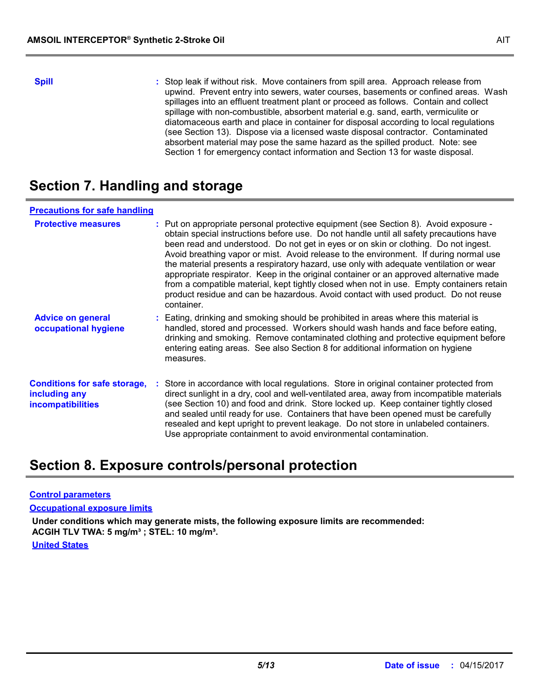**Spill** Stop leak if without risk. Move containers from spill area. Approach release from spill upwind. Prevent entry into sewers, water courses, basements or confined areas. Wash spillages into an effluent treatment plant or proceed as follows. Contain and collect spillage with non-combustible, absorbent material e.g. sand, earth, vermiculite or diatomaceous earth and place in container for disposal according to local regulations (see Section 13). Dispose via a licensed waste disposal contractor. Contaminated absorbent material may pose the same hazard as the spilled product. Note: see Section 1 for emergency contact information and Section 13 for waste disposal.

# **Section 7. Handling and storage**

### **Precautions for safe handling**

| <b>Protective measures</b>                                                       | : Put on appropriate personal protective equipment (see Section 8). Avoid exposure -<br>obtain special instructions before use. Do not handle until all safety precautions have<br>been read and understood. Do not get in eyes or on skin or clothing. Do not ingest.<br>Avoid breathing vapor or mist. Avoid release to the environment. If during normal use<br>the material presents a respiratory hazard, use only with adequate ventilation or wear<br>appropriate respirator. Keep in the original container or an approved alternative made<br>from a compatible material, kept tightly closed when not in use. Empty containers retain<br>product residue and can be hazardous. Avoid contact with used product. Do not reuse<br>container. |
|----------------------------------------------------------------------------------|------------------------------------------------------------------------------------------------------------------------------------------------------------------------------------------------------------------------------------------------------------------------------------------------------------------------------------------------------------------------------------------------------------------------------------------------------------------------------------------------------------------------------------------------------------------------------------------------------------------------------------------------------------------------------------------------------------------------------------------------------|
| <b>Advice on general</b><br>occupational hygiene                                 | : Eating, drinking and smoking should be prohibited in areas where this material is<br>handled, stored and processed. Workers should wash hands and face before eating,<br>drinking and smoking. Remove contaminated clothing and protective equipment before<br>entering eating areas. See also Section 8 for additional information on hygiene<br>measures.                                                                                                                                                                                                                                                                                                                                                                                        |
| <b>Conditions for safe storage,</b><br>including any<br><b>incompatibilities</b> | : Store in accordance with local regulations. Store in original container protected from<br>direct sunlight in a dry, cool and well-ventilated area, away from incompatible materials<br>(see Section 10) and food and drink. Store locked up. Keep container tightly closed<br>and sealed until ready for use. Containers that have been opened must be carefully<br>resealed and kept upright to prevent leakage. Do not store in unlabeled containers.<br>Use appropriate containment to avoid environmental contamination.                                                                                                                                                                                                                       |

### **Section 8. Exposure controls/personal protection**

#### **Control parameters**

**Occupational exposure limits**

**Under conditions which may generate mists, the following exposure limits are recommended: ACGIH TLV TWA: 5 mg/m³ ; STEL: 10 mg/m³.**

**United States**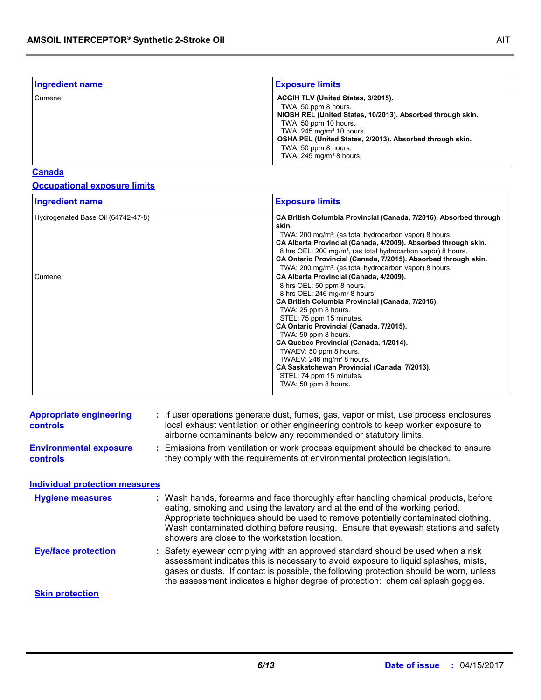| <b>Ingredient name</b> | <b>Exposure limits</b>                                                                                                                                                                                                                                                                                               |
|------------------------|----------------------------------------------------------------------------------------------------------------------------------------------------------------------------------------------------------------------------------------------------------------------------------------------------------------------|
| Cumene                 | ACGIH TLV (United States, 3/2015).<br>TWA: 50 ppm 8 hours.<br>NIOSH REL (United States, 10/2013). Absorbed through skin.<br>TWA: 50 ppm 10 hours.<br>TWA: 245 mg/m <sup>3</sup> 10 hours.<br>OSHA PEL (United States, 2/2013). Absorbed through skin.<br>TWA: 50 ppm 8 hours.<br>TWA: 245 mg/m <sup>3</sup> 8 hours. |

### **Canada**

### **Occupational exposure limits**

| <b>Ingredient name</b>                       | <b>Exposure limits</b>                                                                                                                                                                                                                                                                                                                                                                                                                                                                                                                                       |  |
|----------------------------------------------|--------------------------------------------------------------------------------------------------------------------------------------------------------------------------------------------------------------------------------------------------------------------------------------------------------------------------------------------------------------------------------------------------------------------------------------------------------------------------------------------------------------------------------------------------------------|--|
| Hydrogenated Base Oil (64742-47-8)<br>Cumene | CA British Columbia Provincial (Canada, 7/2016). Absorbed through<br>skin.<br>TWA: 200 mg/m <sup>3</sup> , (as total hydrocarbon vapor) 8 hours.<br>CA Alberta Provincial (Canada, 4/2009). Absorbed through skin.<br>8 hrs OEL: 200 mg/m <sup>3</sup> , (as total hydrocarbon vapor) 8 hours.<br>CA Ontario Provincial (Canada, 7/2015). Absorbed through skin.<br>TWA: 200 mg/m <sup>3</sup> , (as total hydrocarbon vapor) 8 hours.<br>CA Alberta Provincial (Canada, 4/2009).<br>8 hrs OEL: 50 ppm 8 hours.<br>8 hrs OEL: 246 mg/m <sup>3</sup> 8 hours. |  |
|                                              | CA British Columbia Provincial (Canada, 7/2016).<br>TWA: 25 ppm 8 hours.<br>STEL: 75 ppm 15 minutes.<br>CA Ontario Provincial (Canada, 7/2015).<br>TWA: 50 ppm 8 hours.<br>CA Quebec Provincial (Canada, 1/2014).<br>TWAEV: 50 ppm 8 hours.<br>TWAEV: 246 mg/m <sup>3</sup> 8 hours.<br>CA Saskatchewan Provincial (Canada, 7/2013).<br>STEL: 74 ppm 15 minutes.<br>TWA: 50 ppm 8 hours.                                                                                                                                                                     |  |

| <b>Appropriate engineering</b><br><b>controls</b> | : If user operations generate dust, fumes, gas, vapor or mist, use process enclosures,<br>local exhaust ventilation or other engineering controls to keep worker exposure to<br>airborne contaminants below any recommended or statutory limits.                                                                                                                                                  |
|---------------------------------------------------|---------------------------------------------------------------------------------------------------------------------------------------------------------------------------------------------------------------------------------------------------------------------------------------------------------------------------------------------------------------------------------------------------|
| <b>Environmental exposure</b><br><b>controls</b>  | : Emissions from ventilation or work process equipment should be checked to ensure<br>they comply with the requirements of environmental protection legislation.                                                                                                                                                                                                                                  |
| <b>Individual protection measures</b>             |                                                                                                                                                                                                                                                                                                                                                                                                   |
| <b>Hygiene measures</b>                           | : Wash hands, forearms and face thoroughly after handling chemical products, before<br>eating, smoking and using the lavatory and at the end of the working period.<br>Appropriate techniques should be used to remove potentially contaminated clothing.<br>Wash contaminated clothing before reusing. Ensure that eyewash stations and safety<br>showers are close to the workstation location. |
| <b>Eye/face protection</b>                        | : Safety eyewear complying with an approved standard should be used when a risk<br>assessment indicates this is necessary to avoid exposure to liquid splashes, mists,<br>gases or dusts. If contact is possible, the following protection should be worn, unless<br>the assessment indicates a higher degree of protection: chemical splash goggles.                                             |
| <b>Skin protection</b>                            |                                                                                                                                                                                                                                                                                                                                                                                                   |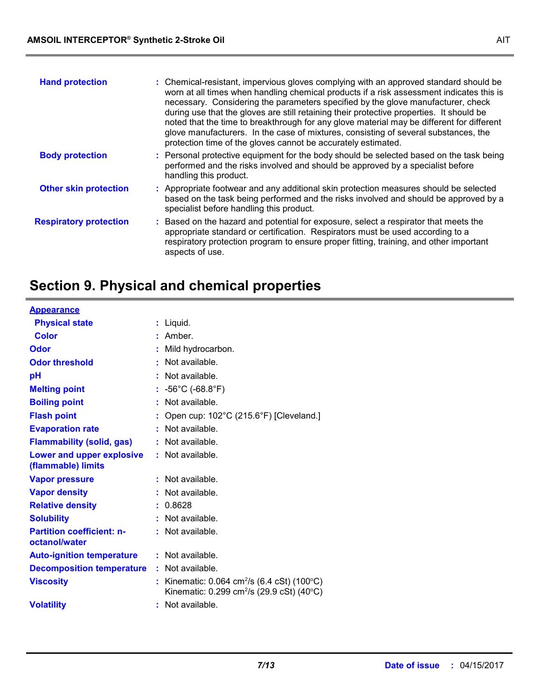| <b>Hand protection</b>        | : Chemical-resistant, impervious gloves complying with an approved standard should be<br>worn at all times when handling chemical products if a risk assessment indicates this is<br>necessary. Considering the parameters specified by the glove manufacturer, check<br>during use that the gloves are still retaining their protective properties. It should be<br>noted that the time to breakthrough for any glove material may be different for different<br>glove manufacturers. In the case of mixtures, consisting of several substances, the<br>protection time of the gloves cannot be accurately estimated. |
|-------------------------------|------------------------------------------------------------------------------------------------------------------------------------------------------------------------------------------------------------------------------------------------------------------------------------------------------------------------------------------------------------------------------------------------------------------------------------------------------------------------------------------------------------------------------------------------------------------------------------------------------------------------|
| <b>Body protection</b>        | : Personal protective equipment for the body should be selected based on the task being<br>performed and the risks involved and should be approved by a specialist before<br>handling this product.                                                                                                                                                                                                                                                                                                                                                                                                                    |
| <b>Other skin protection</b>  | : Appropriate footwear and any additional skin protection measures should be selected<br>based on the task being performed and the risks involved and should be approved by a<br>specialist before handling this product.                                                                                                                                                                                                                                                                                                                                                                                              |
| <b>Respiratory protection</b> | : Based on the hazard and potential for exposure, select a respirator that meets the<br>appropriate standard or certification. Respirators must be used according to a<br>respiratory protection program to ensure proper fitting, training, and other important<br>aspects of use.                                                                                                                                                                                                                                                                                                                                    |

# **Section 9. Physical and chemical properties**

| <b>Appearance</b>                                 |    |                                                                                                                      |
|---------------------------------------------------|----|----------------------------------------------------------------------------------------------------------------------|
| <b>Physical state</b>                             | t. | Liquid.                                                                                                              |
| <b>Color</b>                                      |    | Amber.                                                                                                               |
| Odor                                              |    | Mild hydrocarbon.                                                                                                    |
| <b>Odor threshold</b>                             |    | Not available.                                                                                                       |
| рH                                                |    | Not available.                                                                                                       |
| <b>Melting point</b>                              |    | $-56^{\circ}$ C (-68.8 $^{\circ}$ F)                                                                                 |
| <b>Boiling point</b>                              |    | Not available.                                                                                                       |
| <b>Flash point</b>                                |    | Open cup: 102°C (215.6°F) [Cleveland.]                                                                               |
| <b>Evaporation rate</b>                           |    | Not available.                                                                                                       |
| <b>Flammability (solid, gas)</b>                  | ÷. | Not available.                                                                                                       |
| Lower and upper explosive<br>(flammable) limits   |    | $:$ Not available.                                                                                                   |
| <b>Vapor pressure</b>                             |    | Not available.                                                                                                       |
| <b>Vapor density</b>                              |    | Not available.                                                                                                       |
| <b>Relative density</b>                           |    | 0.8628                                                                                                               |
| <b>Solubility</b>                                 |    | $:$ Not available.                                                                                                   |
| <b>Partition coefficient: n-</b><br>octanol/water |    | $:$ Not available.                                                                                                   |
| <b>Auto-ignition temperature</b>                  |    | $:$ Not available.                                                                                                   |
| <b>Decomposition temperature</b>                  |    | : Not available.                                                                                                     |
| <b>Viscosity</b>                                  |    | Kinematic: $0.064 \text{ cm}^2/\text{s}$ (6.4 cSt) (100 °C)<br>Kinematic: 0.299 cm <sup>2</sup> /s (29.9 cSt) (40°C) |
| <b>Volatility</b>                                 |    | Not available.                                                                                                       |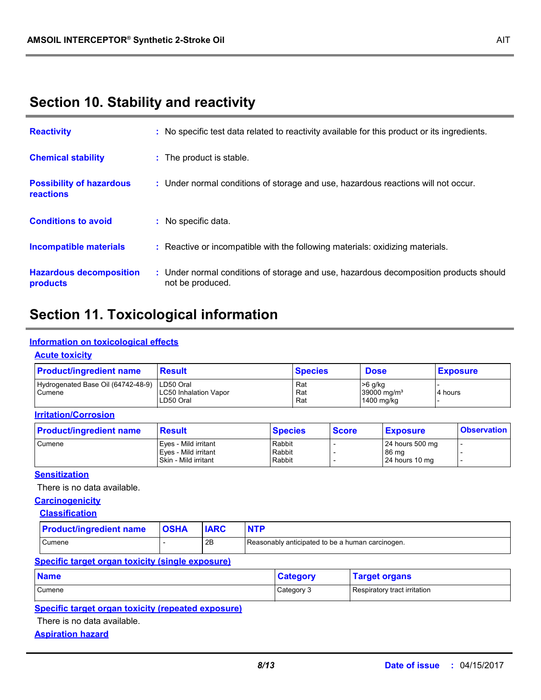### **Section 10. Stability and reactivity**

| <b>Reactivity</b>                            | : No specific test data related to reactivity available for this product or its ingredients.              |
|----------------------------------------------|-----------------------------------------------------------------------------------------------------------|
| <b>Chemical stability</b>                    | : The product is stable.                                                                                  |
| <b>Possibility of hazardous</b><br>reactions | : Under normal conditions of storage and use, hazardous reactions will not occur.                         |
| <b>Conditions to avoid</b>                   | : No specific data.                                                                                       |
| <b>Incompatible materials</b>                | : Reactive or incompatible with the following materials: oxidizing materials.                             |
| <b>Hazardous decomposition</b><br>products   | : Under normal conditions of storage and use, hazardous decomposition products should<br>not be produced. |

# **Section 11. Toxicological information**

#### **Information on toxicological effects**

#### **Acute toxicity**

| <b>Product/ingredient name</b>               | <b>Result</b>                                          | <b>Species</b>    | <b>Dose</b>                                      | <b>Exposure</b> |
|----------------------------------------------|--------------------------------------------------------|-------------------|--------------------------------------------------|-----------------|
| Hydrogenated Base Oil (64742-48-9)<br>Cumene | LD50 Oral<br><b>LC50 Inhalation Vapor</b><br>LD50 Oral | Rat<br>Rat<br>Rat | >6 g/kg<br>39000 mg/m <sup>3</sup><br>1400 mg/kg | 4 hours         |

### **Irritation/Corrosion**

| <b>Product/ingredient name</b> | Result               | <b>Species</b> | <b>Score</b> | <b>Exposure</b> | <b>Observation</b> |
|--------------------------------|----------------------|----------------|--------------|-----------------|--------------------|
| <b>Cumene</b>                  | Eves - Mild irritant | Rabbit         |              | 24 hours 500 mg |                    |
|                                | Eves - Mild irritant | Rabbit         |              | 86 mg           |                    |
|                                | Skin - Mild irritant | Rabbit         |              | 24 hours 10 mg  |                    |

#### **Sensitization**

There is no data available.

### **Carcinogenicity**

#### **Classification**

| <b>Product/ingredient name</b> | <b>OSHA</b> | <b>IARC</b> | <b>NTP</b>                                       |
|--------------------------------|-------------|-------------|--------------------------------------------------|
| Cumene                         |             | 2B          | Reasonably anticipated to be a human carcinogen. |

#### **Specific target organ toxicity (single exposure)**

| <b>Name</b> | <b>Category</b> | <b>Target organs</b>         |
|-------------|-----------------|------------------------------|
| Cumene      | Category 3      | Respiratory tract irritation |

#### **Specific target organ toxicity (repeated exposure)**

There is no data available.

#### **Aspiration hazard**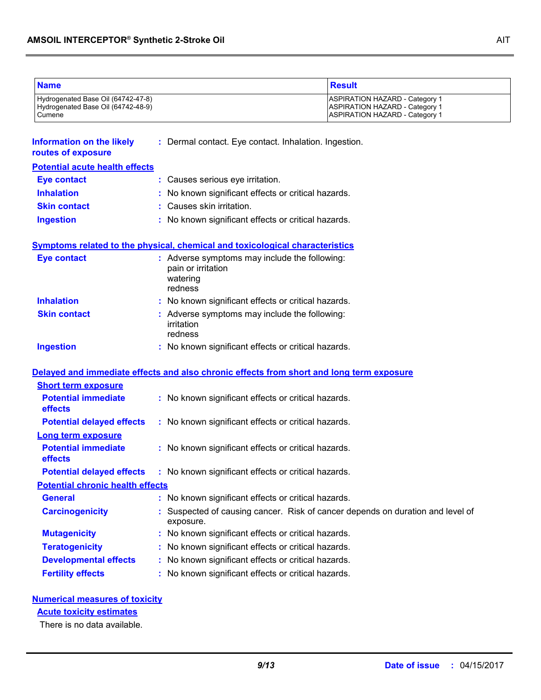| <b>Name</b>                                                                        |                                                                                            | <b>Result</b>                                                                                                           |
|------------------------------------------------------------------------------------|--------------------------------------------------------------------------------------------|-------------------------------------------------------------------------------------------------------------------------|
| Hydrogenated Base Oil (64742-47-8)<br>Hydrogenated Base Oil (64742-48-9)<br>Cumene |                                                                                            | <b>ASPIRATION HAZARD - Category 1</b><br><b>ASPIRATION HAZARD - Category 1</b><br><b>ASPIRATION HAZARD - Category 1</b> |
| <b>Information on the likely</b><br>routes of exposure                             | : Dermal contact. Eye contact. Inhalation. Ingestion.                                      |                                                                                                                         |
| <b>Potential acute health effects</b>                                              |                                                                                            |                                                                                                                         |
| <b>Eye contact</b>                                                                 | : Causes serious eye irritation.                                                           |                                                                                                                         |
| <b>Inhalation</b>                                                                  | No known significant effects or critical hazards.                                          |                                                                                                                         |
| <b>Skin contact</b>                                                                | : Causes skin irritation.                                                                  |                                                                                                                         |
| <b>Ingestion</b>                                                                   | : No known significant effects or critical hazards.                                        |                                                                                                                         |
|                                                                                    | Symptoms related to the physical, chemical and toxicological characteristics               |                                                                                                                         |
| <b>Eye contact</b>                                                                 | : Adverse symptoms may include the following:<br>pain or irritation<br>watering<br>redness |                                                                                                                         |
| <b>Inhalation</b>                                                                  | : No known significant effects or critical hazards.                                        |                                                                                                                         |
| <b>Skin contact</b>                                                                | : Adverse symptoms may include the following:<br>irritation<br>redness                     |                                                                                                                         |
| <b>Ingestion</b>                                                                   | : No known significant effects or critical hazards.                                        |                                                                                                                         |
|                                                                                    |                                                                                            | Delayed and immediate effects and also chronic effects from short and long term exposure                                |
| <b>Short term exposure</b>                                                         |                                                                                            |                                                                                                                         |
| <b>Potential immediate</b><br>effects                                              | : No known significant effects or critical hazards.                                        |                                                                                                                         |
| <b>Potential delayed effects</b><br><b>Long term exposure</b>                      | : No known significant effects or critical hazards.                                        |                                                                                                                         |
| <b>Potential immediate</b><br>effects                                              | : No known significant effects or critical hazards.                                        |                                                                                                                         |
|                                                                                    | <b>Potential delayed effects : No known significant effects or critical hazards.</b>       |                                                                                                                         |
| <b>Potential chronic health effects</b>                                            |                                                                                            |                                                                                                                         |
| <b>General</b>                                                                     | : No known significant effects or critical hazards.                                        |                                                                                                                         |
| <b>Carcinogenicity</b>                                                             | exposure.                                                                                  | : Suspected of causing cancer. Risk of cancer depends on duration and level of                                          |
| <b>Mutagenicity</b>                                                                | No known significant effects or critical hazards.                                          |                                                                                                                         |
| <b>Teratogenicity</b>                                                              | No known significant effects or critical hazards.                                          |                                                                                                                         |
| <b>Developmental effects</b>                                                       | No known significant effects or critical hazards.                                          |                                                                                                                         |
| <b>Fertility effects</b>                                                           | No known significant effects or critical hazards.                                          |                                                                                                                         |

### **Numerical measures of toxicity**

### **Acute toxicity estimates**

There is no data available.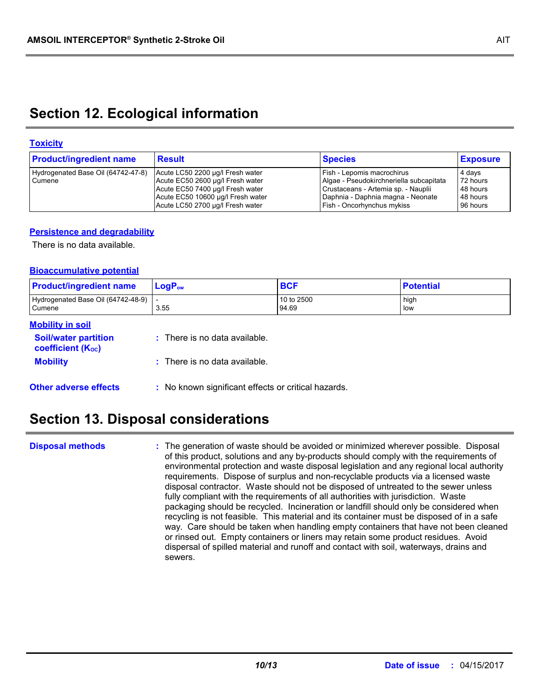### **Section 12. Ecological information**

#### **Toxicity**

| <b>Product/ingredient name</b>               | <b>Result</b>                                                                                                                                                                     | <b>Species</b>                                                                                                                                                                  | <b>Exposure</b>                                        |
|----------------------------------------------|-----------------------------------------------------------------------------------------------------------------------------------------------------------------------------------|---------------------------------------------------------------------------------------------------------------------------------------------------------------------------------|--------------------------------------------------------|
| Hydrogenated Base Oil (64742-47-8)<br>Cumene | Acute LC50 2200 µg/l Fresh water<br>Acute EC50 2600 µg/l Fresh water<br>Acute EC50 7400 µg/l Fresh water<br>Acute EC50 10600 µg/l Fresh water<br>Acute LC50 2700 µg/l Fresh water | Fish - Lepomis macrochirus<br>Algae - Pseudokirchneriella subcapitata<br>Crustaceans - Artemia sp. - Nauplii<br>Daphnia - Daphnia magna - Neonate<br>Fish - Oncorhynchus mykiss | 4 days<br>72 hours<br>48 hours<br>48 hours<br>96 hours |

#### **Persistence and degradability**

There is no data available.

#### **Bioaccumulative potential**

| <b>Product/ingredient name</b>                         | $LogP_{ow}$                | <b>BCF</b>          | <b>Potential</b> |
|--------------------------------------------------------|----------------------------|---------------------|------------------|
| Hydrogenated Base Oil (64742-48-9)<br>Cumene           | 3.55                       | 10 to 2500<br>94.69 | high<br>low      |
| <b>Mobility in soil</b><br><b>Caithmatagnagulitian</b> | Thora io no doto quoilabla |                     |                  |

| <b>Soil/water partition</b><br><b>coefficient (Koc)</b> | $\therefore$ There is no data available.            |
|---------------------------------------------------------|-----------------------------------------------------|
| <b>Mobility</b>                                         | $\therefore$ There is no data available.            |
| <b>Other adverse effects</b>                            | : No known significant effects or critical hazards. |

# **Section 13. Disposal considerations**

**Disposal methods :**

The generation of waste should be avoided or minimized wherever possible. Disposal of this product, solutions and any by-products should comply with the requirements of environmental protection and waste disposal legislation and any regional local authority requirements. Dispose of surplus and non-recyclable products via a licensed waste disposal contractor. Waste should not be disposed of untreated to the sewer unless fully compliant with the requirements of all authorities with jurisdiction. Waste packaging should be recycled. Incineration or landfill should only be considered when recycling is not feasible. This material and its container must be disposed of in a safe way. Care should be taken when handling empty containers that have not been cleaned or rinsed out. Empty containers or liners may retain some product residues. Avoid dispersal of spilled material and runoff and contact with soil, waterways, drains and sewers.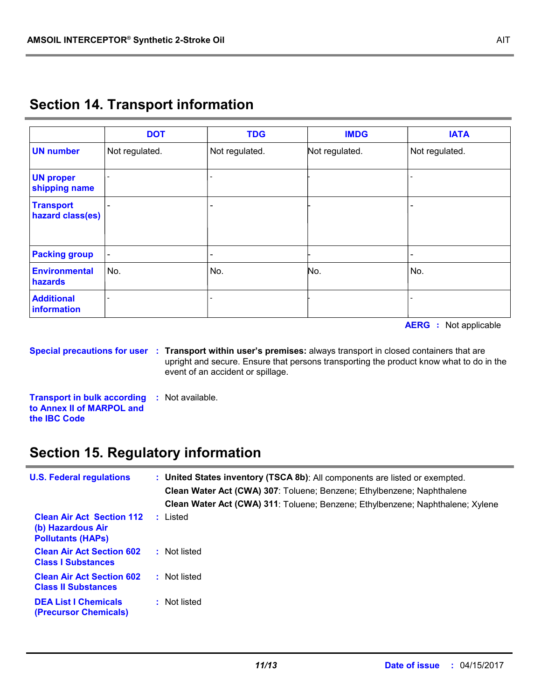|                                      | <b>DOT</b>               | <b>TDG</b>     | <b>IMDG</b>    | <b>IATA</b>    |
|--------------------------------------|--------------------------|----------------|----------------|----------------|
| <b>UN number</b>                     | Not regulated.           | Not regulated. | Not regulated. | Not regulated. |
| <b>UN proper</b><br>shipping name    |                          |                |                |                |
| <b>Transport</b><br>hazard class(es) |                          |                |                |                |
| <b>Packing group</b>                 | $\overline{\phantom{a}}$ |                |                |                |
| <b>Environmental</b><br>hazards      | No.                      | No.            | No.            | No.            |
| <b>Additional</b><br>information     |                          |                |                |                |

# **Section 14. Transport information**

**AERG :** Not applicable

**Special precautions for user Transport within user's premises:** always transport in closed containers that are **:** upright and secure. Ensure that persons transporting the product know what to do in the event of an accident or spillage.

**Transport in bulk according :** Not available. **to Annex II of MARPOL and the IBC Code**

# **Section 15. Regulatory information**

| <b>U.S. Federal regulations</b>                                                   | : United States inventory (TSCA 8b): All components are listed or exempted.<br><b>Clean Water Act (CWA) 307:</b> Toluene; Benzene; Ethylbenzene; Naphthalene<br>Clean Water Act (CWA) 311: Toluene; Benzene; Ethylbenzene; Naphthalene; Xylene |
|-----------------------------------------------------------------------------------|------------------------------------------------------------------------------------------------------------------------------------------------------------------------------------------------------------------------------------------------|
| <b>Clean Air Act Section 112</b><br>(b) Hazardous Air<br><b>Pollutants (HAPs)</b> | : Listed                                                                                                                                                                                                                                       |
| <b>Clean Air Act Section 602</b><br><b>Class I Substances</b>                     | : Not listed                                                                                                                                                                                                                                   |
| <b>Clean Air Act Section 602</b><br><b>Class II Substances</b>                    | : Not listed                                                                                                                                                                                                                                   |
| <b>DEA List I Chemicals</b><br><b>(Precursor Chemicals)</b>                       | : Not listed                                                                                                                                                                                                                                   |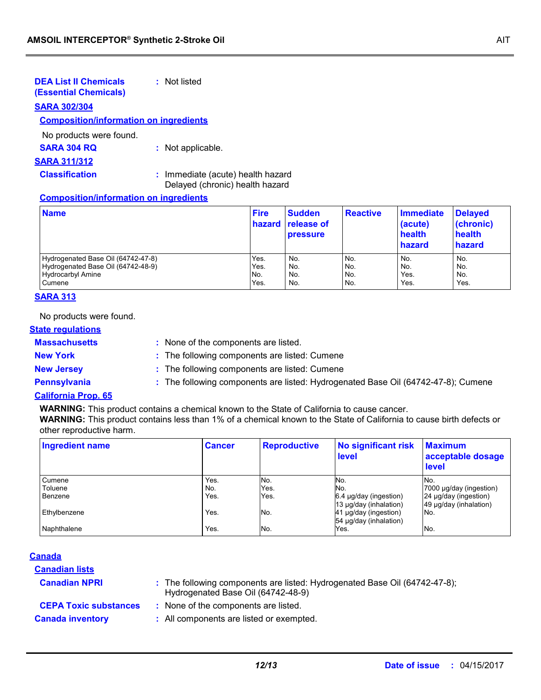| <b>DEA List II Chemicals</b><br><b>(Essential Chemicals)</b> | : Not listed      |
|--------------------------------------------------------------|-------------------|
| <b>SARA 302/304</b>                                          |                   |
| <b>Composition/information on ingredients</b>                |                   |
| No products were found.                                      |                   |
| <b>SARA 304 RQ</b>                                           | : Not applicable. |
| <b>SARA 311/312</b>                                          |                   |
|                                                              | .                 |

**Classification :** Immediate (acute) health hazard Delayed (chronic) health hazard

#### **Composition/information on ingredients**

| <b>Name</b>                        | <b>Fire</b> | <b>Sudden</b><br><b>hazard release of</b><br><b>pressure</b> | <b>Reactive</b> | Immediate<br>(acute)<br>health<br>hazard | <b>Delayed</b><br>(chronic)<br>health<br>hazard |
|------------------------------------|-------------|--------------------------------------------------------------|-----------------|------------------------------------------|-------------------------------------------------|
| Hydrogenated Base Oil (64742-47-8) | Yes.        | No.                                                          | No.             | No.                                      | No.                                             |
| Hydrogenated Base Oil (64742-48-9) | Yes.        | No.                                                          | No.             | No.                                      | No.                                             |
| <b>Hydrocarbyl Amine</b>           | No.         | No.                                                          | No.             | Yes.                                     | No.                                             |
| Cumene                             | Yes.        | No.                                                          | No.             | Yes.                                     | Yes.                                            |

#### **SARA 313**

No products were found.

#### **State regulations**

**Massachusetts :**

: None of the components are listed.

**New York :** The following components are listed: Cumene

**New Jersey :** The following components are listed: Cumene

- 
- **Pennsylvania :** The following components are listed: Hydrogenated Base Oil (64742-47-8); Cumene

#### **California Prop. 65**

**WARNING:** This product contains a chemical known to the State of California to cause cancer.

**WARNING:** This product contains less than 1% of a chemical known to the State of California to cause birth defects or other reproductive harm.

| <b>Ingredient name</b> | <b>Cancer</b> | <b>Reproductive</b> | <b>No significant risk</b><br>level | <b>Maximum</b><br>acceptable dosage<br>level |
|------------------------|---------------|---------------------|-------------------------------------|----------------------------------------------|
| Cumene                 | Yes.          | No.                 | No.                                 | No.                                          |
| Toluene                | No.           | Yes.                | No.                                 | 7000 µg/day (ingestion)                      |
| Benzene                | Yes.          | Yes.                | $6.4 \mu g/day$ (ingestion)         | 24 µg/day (ingestion)                        |
|                        |               |                     | 13 µg/day (inhalation)              | 49 µg/day (inhalation)                       |
| Ethylbenzene           | Yes.          | No.                 | 41 µg/day (ingestion)               | No.                                          |
|                        |               |                     | 54 µg/day (inhalation)              |                                              |
| Naphthalene            | Yes.          | No.                 | Yes.                                | No.                                          |

#### **Canada**

| <b>Canadian lists</b>        |                                                                                                                  |
|------------------------------|------------------------------------------------------------------------------------------------------------------|
| <b>Canadian NPRI</b>         | : The following components are listed: Hydrogenated Base Oil (64742-47-8);<br>Hydrogenated Base Oil (64742-48-9) |
| <b>CEPA Toxic substances</b> | : None of the components are listed.                                                                             |
| <b>Canada inventory</b>      | : All components are listed or exempted.                                                                         |